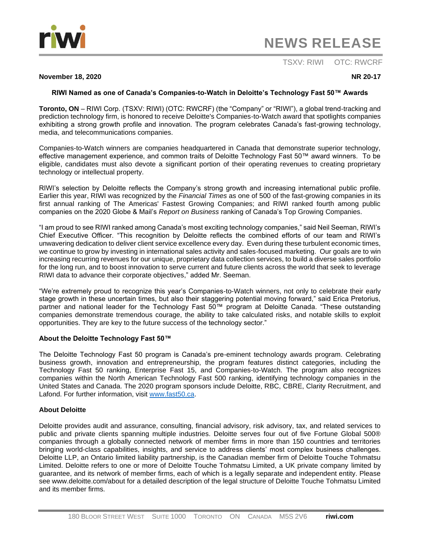

# **NEWS RELEASE**

## TSXV: RIWI OTC: RWCRF

#### **November 18, 2020 NR 20-17**

### **RIWI Named as one of Canada's Companies-to-Watch in Deloitte's Technology Fast 50™ Awards**

**Toronto, ON** – RIWI Corp. (TSXV: RIWI) (OTC: RWCRF) (the "Company" or "RIWI"), a global trend-tracking and prediction technology firm, is honored to receive Deloitte's Companies-to-Watch award that spotlights companies exhibiting a strong growth profile and innovation. The program celebrates Canada's fast-growing technology, media, and telecommunications companies.

Companies-to-Watch winners are companies headquartered in Canada that demonstrate superior technology, effective management experience, and common traits of Deloitte Technology Fast 50™ award winners. To be eligible, candidates must also devote a significant portion of their operating revenues to creating proprietary technology or intellectual property.

RIWI's selection by Deloitte reflects the Company's strong growth and increasing international public profile. Earlier this year, RIWI was recognized by the *Financial Times* as one of 500 of the fast-growing companies in its first annual ranking of The Americas' Fastest Growing Companies; and RIWI ranked fourth among public companies on the 2020 Globe & Mail's *Report on Business* ranking of Canada's Top Growing Companies.

"I am proud to see RIWI ranked among Canada's most exciting technology companies," said Neil Seeman, RIWI's Chief Executive Officer. "This recognition by Deloitte reflects the combined efforts of our team and RIWI's unwavering dedication to deliver client service excellence every day. Even during these turbulent economic times, we continue to grow by investing in international sales activity and sales-focused marketing. Our goals are to win increasing recurring revenues for our unique, proprietary data collection services, to build a diverse sales portfolio for the long run, and to boost innovation to serve current and future clients across the world that seek to leverage RIWI data to advance their corporate objectives," added Mr. Seeman.

"We're extremely proud to recognize this year's Companies-to-Watch winners, not only to celebrate their early stage growth in these uncertain times, but also their staggering potential moving forward," said Erica Pretorius, partner and national leader for the Technology Fast 50™ program at Deloitte Canada. "These outstanding companies demonstrate tremendous courage, the ability to take calculated risks, and notable skills to exploit opportunities. They are key to the future success of the technology sector."

#### **About the Deloitte Technology Fast 50™**

The Deloitte Technology Fast 50 program is Canada's pre-eminent technology awards program. Celebrating business growth, innovation and entrepreneurship, the program features distinct categories, including the Technology Fast 50 ranking, Enterprise Fast 15, and Companies-to-Watch. The program also recognizes companies within the North American Technology Fast 500 ranking, identifying technology companies in the United States and Canada. The 2020 program sponsors include Deloitte, RBC, CBRE, Clarity Recruitment, and Lafond. For further information, visit [www.fast50.ca.](http://www.fast50.ca/)

#### **About Deloitte**

Deloitte provides audit and assurance, consulting, financial advisory, risk advisory, tax, and related services to public and private clients spanning multiple industries. Deloitte serves four out of five Fortune Global 500® companies through a globally connected network of member firms in more than 150 countries and territories bringing world-class capabilities, insights, and service to address clients' most complex business challenges. Deloitte LLP, an Ontario limited liability partnership, is the Canadian member firm of Deloitte Touche Tohmatsu Limited. Deloitte refers to one or more of Deloitte Touche Tohmatsu Limited, a UK private company limited by guarantee, and its network of member firms, each of which is a legally separate and independent entity. Please see www.deloitte.com/about for a detailed description of the legal structure of Deloitte Touche Tohmatsu Limited and its member firms.